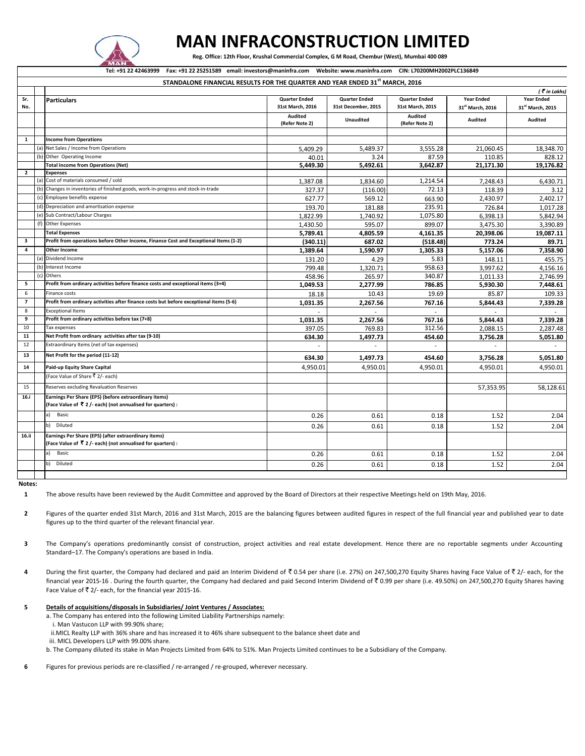

## **MAN INFRACONSTRUCTION LIMITED**

 **Reg. Office: 12th Floor, Krushal Commercial Complex, G M Road, Chembur (West), Mumbai 400 089**

**Tel: +91 22 42463999 Fax: +91 22 25251589 email: investors@maninfra.com Website: www.maninfra.com CIN: L70200MH2002PLC136849**

|                |     | STANDALONE FINANCIAL RESULTS FOR THE QUARTER AND YEAR ENDED 31 <sup>st</sup> MARCH, 2016                            |                           |                          |                           |                              |                              |
|----------------|-----|---------------------------------------------------------------------------------------------------------------------|---------------------------|--------------------------|---------------------------|------------------------------|------------------------------|
|                |     |                                                                                                                     |                           |                          |                           |                              | (₹in Lakhs)                  |
| Sr.            |     | <b>Particulars</b>                                                                                                  | <b>Quarter Ended</b>      | <b>Quarter Ended</b>     | <b>Quarter Ended</b>      | <b>Year Ended</b>            | <b>Year Ended</b>            |
| No.            |     |                                                                                                                     | 31st March, 2016          | 31st December, 2015      | 31st March, 2015          | 31 <sup>st</sup> March, 2016 | 31 <sup>st</sup> March, 2015 |
|                |     |                                                                                                                     | Audited<br>(Refer Note 2) | <b>Unaudited</b>         | Audited<br>(Refer Note 2) | Audited                      | Audited                      |
|                |     |                                                                                                                     |                           |                          |                           |                              |                              |
| $\mathbf{1}$   |     | <b>Income from Operations</b>                                                                                       |                           |                          |                           |                              |                              |
|                | (a) | Net Sales / Income from Operations                                                                                  | 5,409.29                  | 5,489.37                 | 3,555.28                  | 21,060.45                    | 18,348.70                    |
|                | (b) | Other Operating Income                                                                                              | 40.01                     | 3.24                     | 87.59                     | 110.85                       | 828.12                       |
|                |     | <b>Total Income from Operations (Net)</b>                                                                           | 5,449.30                  | 5,492.61                 | 3,642.87                  | 21,171.30                    | 19,176.82                    |
| $\overline{2}$ |     | <b>Expenses</b>                                                                                                     |                           |                          |                           |                              |                              |
|                |     | (a) Cost of materials consumed / sold                                                                               | 1,387.08                  | 1,834.60                 | 1,214.54                  | 7,248.43                     | 6,430.71                     |
|                |     | (b) Changes in inventories of finished goods, work-in-progress and stock-in-trade                                   | 327.37                    | (116.00)                 | 72.13                     | 118.39                       | 3.12                         |
|                | (c) | Employee benefits expense                                                                                           | 627.77                    | 569.12                   | 663.90                    | 2,430.97                     | 2,402.17                     |
|                |     | (d) Depreciation and amortisation expense                                                                           | 193.70                    | 181.88                   | 235.91                    | 726.84                       | 1,017.28                     |
|                |     | (e) Sub Contract/Labour Charges                                                                                     | 1,822.99                  | 1,740.92                 | 1,075.80                  | 6,398.13                     | 5,842.94                     |
|                | (f) | <b>Other Expenses</b>                                                                                               | 1,430.50                  | 595.07                   | 899.07                    | 3,475.30                     | 3,390.89                     |
|                |     | <b>Total Expenses</b>                                                                                               | 5,789.41                  | 4,805.59                 | 4,161.35                  | 20,398.06                    | 19,087.11                    |
| 3              |     | Profit from operations before Other Income, Finance Cost and Exceptional Items (1-2)                                | (340.11)                  | 687.02                   | (518.48)                  | 773.24                       | 89.71                        |
| $\overline{a}$ |     | <b>Other Income</b>                                                                                                 | 1.389.64                  | 1,590.97                 | 1,305.33                  | 5.157.06                     | 7,358.90                     |
|                | (a) | Dividend Income                                                                                                     | 131.20                    | 4.29                     | 5.83                      | 148.11                       | 455.75                       |
|                | (b) | Interest Income                                                                                                     | 799.48                    | 1,320.71                 | 958.63                    | 3,997.62                     | 4,156.16                     |
|                |     | (c) Others                                                                                                          | 458.96                    | 265.97                   | 340.87                    | 1.011.33                     | 2,746.99                     |
| 5              |     | Profit from ordinary activities before finance costs and exceptional items (3+4)                                    | 1,049.53                  | 2,277.99                 | 786.85                    | 5,930.30                     | 7,448.61                     |
| 6              |     | Finance costs                                                                                                       | 18.18                     | 10.43                    | 19.69                     | 85.87                        | 109.33                       |
| $\overline{7}$ |     | Profit from ordinary activities after finance costs but before exceptional items (5-6)                              | 1,031.35                  | 2,267.56                 | 767.16                    | 5,844.43                     | 7,339.28                     |
| 8              |     | <b>Exceptional Items</b>                                                                                            |                           | $\overline{\phantom{a}}$ |                           |                              |                              |
| 9              |     | Profit from ordinary activities before tax (7+8)                                                                    | 1,031.35                  | 2,267.56                 | 767.16                    | 5,844.43                     | 7,339.28                     |
| 10             |     | Tax expenses                                                                                                        | 397.05                    | 769.83                   | 312.56                    | 2,088.15                     | 2,287.48                     |
| 11             |     | Net Profit from ordinary activities after tax (9-10)                                                                | 634.30                    | 1,497.73                 | 454.60                    | 3,756.28                     | 5,051.80                     |
| 12             |     | Extraordinary Items (net of tax expenses)                                                                           |                           |                          |                           |                              |                              |
| 13             |     | Net Profit for the period (11-12)                                                                                   | 634.30                    | 1,497.73                 | 454.60                    | 3,756.28                     | 5,051.80                     |
| 14             |     | Paid-up Equity Share Capital                                                                                        | 4,950.01                  | 4,950.01                 | 4,950.01                  | 4,950.01                     | 4,950.01                     |
|                |     | (Face Value of Share ₹ 2/- each)                                                                                    |                           |                          |                           |                              |                              |
| 15             |     | Reserves excluding Revaluation Reserves                                                                             |                           |                          |                           | 57,353.95                    | 58,128.61                    |
| 16.i           |     | Earnings Per Share (EPS) (before extraordinary items)<br>(Face Value of ₹ 2/- each) (not annualised for quarters) : |                           |                          |                           |                              |                              |
|                |     | a) Basic                                                                                                            | 0.26                      | 0.61                     | 0.18                      | 1.52                         | 2.04                         |
|                |     | b) Diluted                                                                                                          | 0.26                      | 0.61                     | 0.18                      | 1.52                         | 2.04                         |
| 16.ii          |     | Earnings Per Share (EPS) (after extraordinary items)<br>(Face Value of ₹ 2/- each) (not annualised for quarters) :  |                           |                          |                           |                              |                              |
|                |     | a) Basic                                                                                                            | 0.26                      | 0.61                     | 0.18                      | 1.52                         | 2.04                         |
|                |     | b) Diluted                                                                                                          | 0.26                      | 0.61                     | 0.18                      | 1.52                         | 2.04                         |
|                |     |                                                                                                                     |                           |                          |                           |                              |                              |

**Notes:**

- **2** Figures of the quarter ended 31st March, 2016 and 31st March, 2015 are the balancing figures between audited figures in respect of the full financial year and published year to date figures up to the third quarter of the relevant financial year.
- **3** The Company's operations predominantly consist of construction, project activities and real estate development. Hence there are no reportable segments under Accounting Standard–17. The Company's operations are based in India.
- 4 During the first quarter, the Company had declared and paid an Interim Dividend of ₹0.54 per share (i.e. 27%) on 247,500,270 Equity Shares having Face Value of ₹2/-each, for the financial year 2015-16 . During the fourth quarter, the Company had declared and paid Second Interim Dividend of ₹0.99 per share (i.e. 49.50%) on 247,500,270 Equity Shares having Face Value of  $\bar{z}$  2/- each, for the financial year 2015-16.
- **5 Details of acquisitions/disposals in Subsidiaries/ Joint Ventures / Associates:**
	- a. The Company has entered into the following Limited Liability Partnerships namely:
		- i. Man Vastucon LLP with 99.90% share;
	- ii.MICL Realty LLP with 36% share and has increased it to 46% share subsequent to the balance sheet date and
	- iii. MICL Developers LLP with 99.00% share.
	- b. The Company diluted its stake in Man Projects Limited from 64% to 51%. Man Projects Limited continues to be a Subsidiary of the Company.
- **6** Figures for previous periods are re-classified / re-arranged / re-grouped, wherever necessary.

**<sup>1</sup>** The above results have been reviewed by the Audit Committee and approved by the Board of Directors at their respective Meetings held on 19th May, 2016.